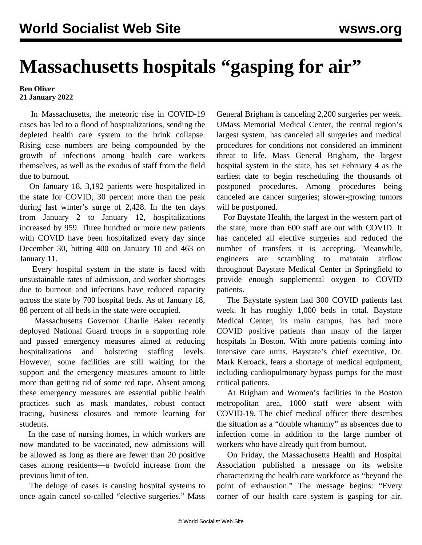## **Massachusetts hospitals "gasping for air"**

## **Ben Oliver 21 January 2022**

 In Massachusetts, the meteoric rise in COVID-19 cases has led to a flood of hospitalizations, sending the depleted health care system to the brink collapse. Rising case numbers are being compounded by the growth of infections among health care workers themselves, as well as the exodus of staff from the field due to burnout.

 On January 18, 3,192 patients were hospitalized in the state for COVID, 30 percent more than the peak during last winter's surge of 2,428. In the ten days from January 2 to January 12, hospitalizations increased by 959. Three hundred or more new patients with COVID have been hospitalized every day since December 30, hitting 400 on January 10 and 463 on January 11.

 Every hospital system in the state is faced with unsustainable rates of admission, and worker shortages due to burnout and infections have reduced capacity across the state by 700 hospital beds. As of January 18, 88 percent of all beds in the state were occupied.

 Massachusetts Governor Charlie Baker recently deployed National Guard troops in a supporting role and passed emergency measures aimed at reducing hospitalizations and bolstering staffing levels. However, some facilities are still waiting for the support and the emergency measures amount to little more than getting rid of some red tape. Absent among these emergency measures are essential public health practices such as mask mandates, robust contact tracing, business closures and remote learning for students.

 In the case of nursing homes, in which workers are now mandated to be vaccinated, new admissions will be allowed as long as there are fewer than 20 positive cases among residents—a twofold increase from the previous limit of ten.

 The deluge of cases is causing hospital systems to once again cancel so-called "elective surgeries." Mass

General Brigham is canceling 2,200 surgeries per week. UMass Memorial Medical Center, the central region's largest system, has canceled all surgeries and medical procedures for conditions not considered an imminent threat to life. Mass General Brigham, the largest hospital system in the state, has set February 4 as the earliest date to begin rescheduling the thousands of postponed procedures. Among procedures being canceled are cancer surgeries; slower-growing tumors will be postponed.

 For Baystate Health, the largest in the western part of the state, more than 600 staff are out with COVID. It has canceled all elective surgeries and reduced the number of transfers it is accepting. Meanwhile, engineers are scrambling to maintain airflow throughout Baystate Medical Center in Springfield to provide enough supplemental oxygen to COVID patients.

 The Baystate system had 300 COVID patients last week. It has roughly 1,000 beds in total. Baystate Medical Center, its main campus, has had more COVID positive patients than many of the larger hospitals in Boston. With more patients coming into intensive care units, Baystate's chief executive, Dr. Mark Keroack, fears a shortage of medical equipment, including cardiopulmonary bypass pumps for the most critical patients.

 At Brigham and Women's facilities in the Boston metropolitan area, 1000 staff were absent with COVID-19. The chief medical officer there describes the situation as a "double whammy" as absences due to infection come in addition to the large number of workers who have already quit from burnout.

 On Friday, the Massachusetts Health and Hospital Association published a message on its website characterizing the health care workforce as "beyond the point of exhaustion." The message begins: "Every corner of our health care system is gasping for air.